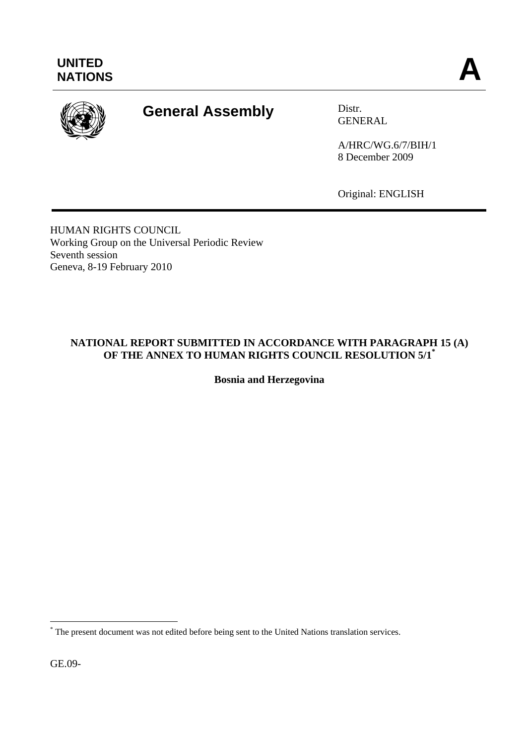

# **General Assembly** Distr.

GENERAL

A/HRC/WG.6/7/BIH/1 8 December 2009

Original: ENGLISH

HUMAN RIGHTS COUNCIL Working Group on the Universal Periodic Review Seventh session Geneva, 8-19 February 2010

## **NATIONAL REPORT SUBMITTED IN ACCORDANCE WITH PARAGRAPH 15 (A) OF THE ANNEX TO HUMAN RIGHTS COUNCIL RESOLUTION 5/1\***

**Bosnia and Herzegovina** 

GE.09-

 $\overline{a}$ 

<sup>\*</sup> The present document was not edited before being sent to the United Nations translation services.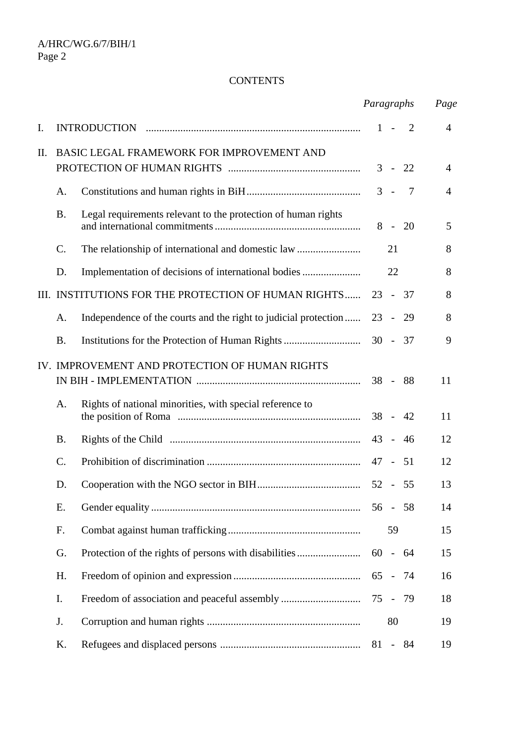#### **CONTENTS**

|      |                                           |                                                                 |        | Paragraphs     | Page           |                |
|------|-------------------------------------------|-----------------------------------------------------------------|--------|----------------|----------------|----------------|
| I.   |                                           |                                                                 |        | $1 - 2$        |                | $\overline{4}$ |
| II.  | BASIC LEGAL FRAMEWORK FOR IMPROVEMENT AND |                                                                 |        | $3 -$          | 22             | 4              |
|      | Α.                                        |                                                                 |        | $3 -$          | $\overline{7}$ | 4              |
|      | <b>B.</b>                                 | Legal requirements relevant to the protection of human rights   |        | $8 -$          | - 20           | 5              |
|      | $\mathcal{C}$ .                           |                                                                 |        | 21             |                | 8              |
|      | D.                                        |                                                                 |        | 22             |                | 8              |
| III. |                                           | INSTITUTIONS FOR THE PROTECTION OF HUMAN RIGHTS                 |        | $23 - 37$      |                | 8              |
|      | Α.                                        | Independence of the courts and the right to judicial protection | $23 -$ |                | - 29           | 8              |
|      | <b>B.</b>                                 |                                                                 |        |                |                | 9              |
|      |                                           | IV. IMPROVEMENT AND PROTECTION OF HUMAN RIGHTS                  |        | $38 - 88$      |                | 11             |
|      | Α.                                        | Rights of national minorities, with special reference to        |        | $38 - 42$      |                | 11             |
|      | <b>B.</b>                                 |                                                                 | $43 -$ |                | 46             | 12             |
|      | C.                                        |                                                                 | 47 -   |                | 51             | 12             |
|      | D.                                        |                                                                 | $52 -$ |                | - 55           | 13             |
|      | Ε.                                        |                                                                 |        | $56 - 58$      |                | 14             |
|      | F.                                        |                                                                 |        | 59             |                | 15             |
|      | G.                                        | Protection of the rights of persons with disabilities           |        | $60 - 64$      |                | 15             |
|      | Η.                                        |                                                                 |        | 65 - 74        |                | 16             |
|      | I.                                        |                                                                 | 75 -   |                | - 79           | 18             |
|      | J.                                        |                                                                 |        | 80             |                | 19             |
|      | K.                                        |                                                                 | 81     | $\blacksquare$ | - 84           | 19             |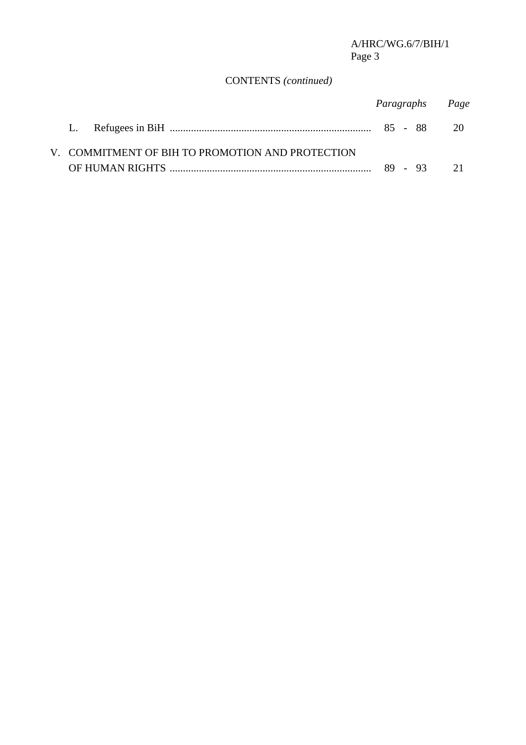## CONTENTS *(continued)*

|                                                  | Paragraphs Page |  |
|--------------------------------------------------|-----------------|--|
|                                                  |                 |  |
| V. COMMITMENT OF BIH TO PROMOTION AND PROTECTION |                 |  |
|                                                  |                 |  |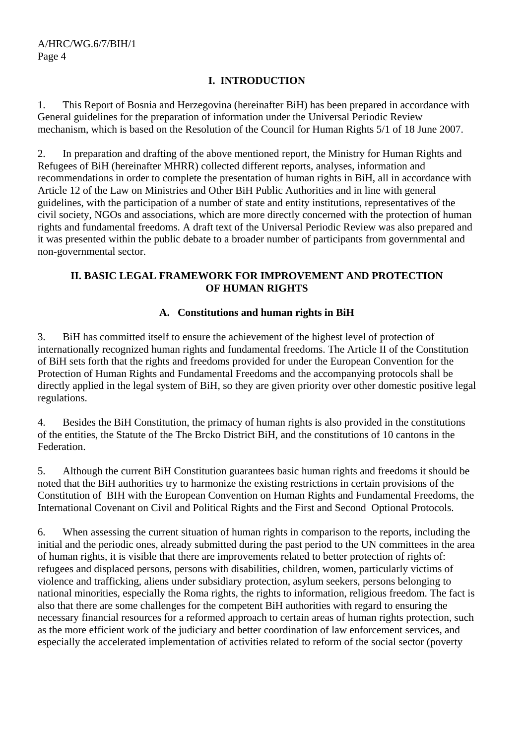## **I. INTRODUCTION**

1. This Report of Bosnia and Herzegovina (hereinafter BiH) has been prepared in accordance with General guidelines for the preparation of information under the Universal Periodic Review mechanism, which is based on the Resolution of the Council for Human Rights 5/1 of 18 June 2007.

2. In preparation and drafting of the above mentioned report, the Ministry for Human Rights and Refugees of BiH (hereinafter MHRR) collected different reports, analyses, information and recommendations in order to complete the presentation of human rights in BiH, all in accordance with Article 12 of the Law on Ministries and Other BiH Public Authorities and in line with general guidelines, with the participation of a number of state and entity institutions, representatives of the civil society, NGOs and associations, which are more directly concerned with the protection of human rights and fundamental freedoms. A draft text of the Universal Periodic Review was also prepared and it was presented within the public debate to a broader number of participants from governmental and non-governmental sector.

## **II. BASIC LEGAL FRAMEWORK FOR IMPROVEMENT AND PROTECTION OF HUMAN RIGHTS**

## **A. Constitutions and human rights in BiH**

3. BiH has committed itself to ensure the achievement of the highest level of protection of internationally recognized human rights and fundamental freedoms. The Article II of the Constitution of BiH sets forth that the rights and freedoms provided for under the European Convention for the Protection of Human Rights and Fundamental Freedoms and the accompanying protocols shall be directly applied in the legal system of BiH, so they are given priority over other domestic positive legal regulations.

4. Besides the BiH Constitution, the primacy of human rights is also provided in the constitutions of the entities, the Statute of the The Brcko District BiH, and the constitutions of 10 cantons in the Federation.

5. Although the current BiH Constitution guarantees basic human rights and freedoms it should be noted that the BiH authorities try to harmonize the existing restrictions in certain provisions of the Constitution of BIH with the European Convention on Human Rights and Fundamental Freedoms, the International Covenant on Civil and Political Rights and the First and Second Optional Protocols.

6. When assessing the current situation of human rights in comparison to the reports, including the initial and the periodic ones, already submitted during the past period to the UN committees in the area of human rights, it is visible that there are improvements related to better protection of rights of: refugees and displaced persons, persons with disabilities, children, women, particularly victims of violence and trafficking, aliens under subsidiary protection, asylum seekers, persons belonging to national minorities, especially the Roma rights, the rights to information, religious freedom. The fact is also that there are some challenges for the competent BiH authorities with regard to ensuring the necessary financial resources for a reformed approach to certain areas of human rights protection, such as the more efficient work of the judiciary and better coordination of law enforcement services, and especially the accelerated implementation of activities related to reform of the social sector (poverty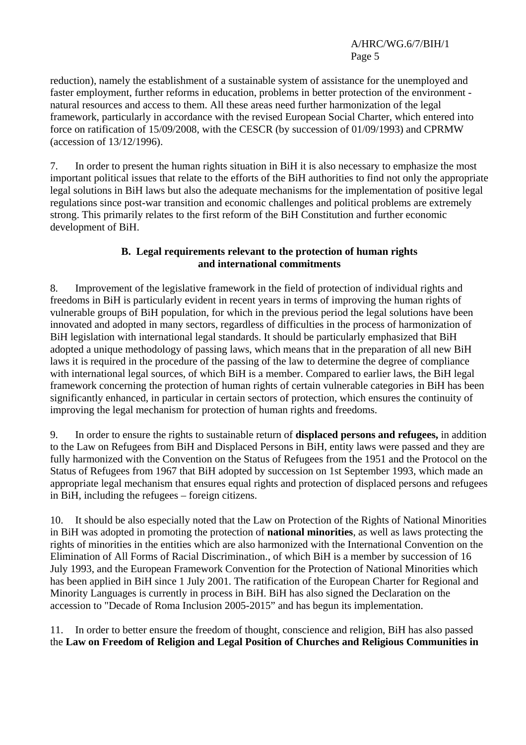reduction), namely the establishment of a sustainable system of assistance for the unemployed and faster employment, further reforms in education, problems in better protection of the environment natural resources and access to them. All these areas need further harmonization of the legal framework, particularly in accordance with the revised European Social Charter, which entered into force on ratification of 15/09/2008, with the CESCR (by succession of 01/09/1993) and CPRMW (accession of 13/12/1996).

7. In order to present the human rights situation in BiH it is also necessary to emphasize the most important political issues that relate to the efforts of the BiH authorities to find not only the appropriate legal solutions in BiH laws but also the adequate mechanisms for the implementation of positive legal regulations since post-war transition and economic challenges and political problems are extremely strong. This primarily relates to the first reform of the BiH Constitution and further economic development of BiH.

#### **B. Legal requirements relevant to the protection of human rights and international commitments**

8. Improvement of the legislative framework in the field of protection of individual rights and freedoms in BiH is particularly evident in recent years in terms of improving the human rights of vulnerable groups of BiH population, for which in the previous period the legal solutions have been innovated and adopted in many sectors, regardless of difficulties in the process of harmonization of BiH legislation with international legal standards. It should be particularly emphasized that BiH adopted a unique methodology of passing laws, which means that in the preparation of all new BiH laws it is required in the procedure of the passing of the law to determine the degree of compliance with international legal sources, of which BiH is a member. Compared to earlier laws, the BiH legal framework concerning the protection of human rights of certain vulnerable categories in BiH has been significantly enhanced, in particular in certain sectors of protection, which ensures the continuity of improving the legal mechanism for protection of human rights and freedoms.

9. In order to ensure the rights to sustainable return of **displaced persons and refugees,** in addition to the Law on Refugees from BiH and Displaced Persons in BiH, entity laws were passed and they are fully harmonized with the Convention on the Status of Refugees from the 1951 and the Protocol on the Status of Refugees from 1967 that BiH adopted by succession on 1st September 1993, which made an appropriate legal mechanism that ensures equal rights and protection of displaced persons and refugees in BiH, including the refugees – foreign citizens.

10. It should be also especially noted that the Law on Protection of the Rights of National Minorities in BiH was adopted in promoting the protection of **national minorities**, as well as laws protecting the rights of minorities in the entities which are also harmonized with the International Convention on the Elimination of All Forms of Racial Discrimination., of which BiH is a member by succession of 16 July 1993, and the European Framework Convention for the Protection of National Minorities which has been applied in BiH since 1 July 2001. The ratification of the European Charter for Regional and Minority Languages is currently in process in BiH. BiH has also signed the Declaration on the accession to "Decade of Roma Inclusion 2005-2015" and has begun its implementation.

11. In order to better ensure the freedom of thought, conscience and religion, BiH has also passed the **Law on Freedom of Religion and Legal Position of Churches and Religious Communities in**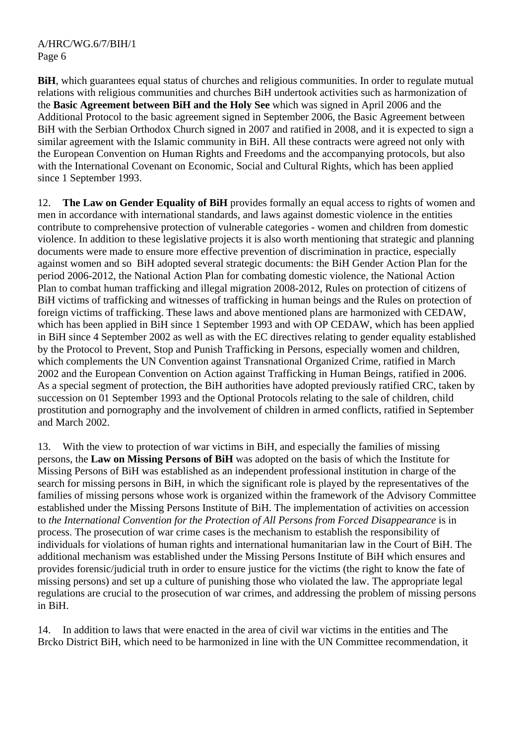**BiH**, which guarantees equal status of churches and religious communities. In order to regulate mutual relations with religious communities and churches BiH undertook activities such as harmonization of the **Basic Agreement between BiH and the Holy See** which was signed in April 2006 and the Additional Protocol to the basic agreement signed in September 2006, the Basic Agreement between BiH with the Serbian Orthodox Church signed in 2007 and ratified in 2008, and it is expected to sign a similar agreement with the Islamic community in BiH. All these contracts were agreed not only with the European Convention on Human Rights and Freedoms and the accompanying protocols, but also with the International Covenant on Economic, Social and Cultural Rights, which has been applied since 1 September 1993.

12. **The Law on Gender Equality of BiH** provides formally an equal access to rights of women and men in accordance with international standards, and laws against domestic violence in the entities contribute to comprehensive protection of vulnerable categories - women and children from domestic violence. In addition to these legislative projects it is also worth mentioning that strategic and planning documents were made to ensure more effective prevention of discrimination in practice, especially against women and so BiH adopted several strategic documents: the BiH Gender Action Plan for the period 2006-2012, the National Action Plan for combating domestic violence, the National Action Plan to combat human trafficking and illegal migration 2008-2012, Rules on protection of citizens of BiH victims of trafficking and witnesses of trafficking in human beings and the Rules on protection of foreign victims of trafficking. These laws and above mentioned plans are harmonized with CEDAW, which has been applied in BiH since 1 September 1993 and with OP CEDAW, which has been applied in BiH since 4 September 2002 as well as with the EC directives relating to gender equality established by the Protocol to Prevent, Stop and Punish Trafficking in Persons, especially women and children, which complements the UN Convention against Transnational Organized Crime, ratified in March 2002 and the European Convention on Action against Trafficking in Human Beings, ratified in 2006. As a special segment of protection, the BiH authorities have adopted previously ratified CRC, taken by succession on 01 September 1993 and the Optional Protocols relating to the sale of children, child prostitution and pornography and the involvement of children in armed conflicts, ratified in September and March 2002.

13. With the view to protection of war victims in BiH, and especially the families of missing persons, the **Law on Missing Persons of BiH** was adopted on the basis of which the Institute for Missing Persons of BiH was established as an independent professional institution in charge of the search for missing persons in BiH, in which the significant role is played by the representatives of the families of missing persons whose work is organized within the framework of the Advisory Committee established under the Missing Persons Institute of BiH. The implementation of activities on accession to *the International Convention for the Protection of All Persons from Forced Disappearance* is in process. The prosecution of war crime cases is the mechanism to establish the responsibility of individuals for violations of human rights and international humanitarian law in the Court of BiH. The additional mechanism was established under the Missing Persons Institute of BiH which ensures and provides forensic/judicial truth in order to ensure justice for the victims (the right to know the fate of missing persons) and set up a culture of punishing those who violated the law. The appropriate legal regulations are crucial to the prosecution of war crimes, and addressing the problem of missing persons in BiH.

14. In addition to laws that were enacted in the area of civil war victims in the entities and The Brcko District BiH, which need to be harmonized in line with the UN Committee recommendation, it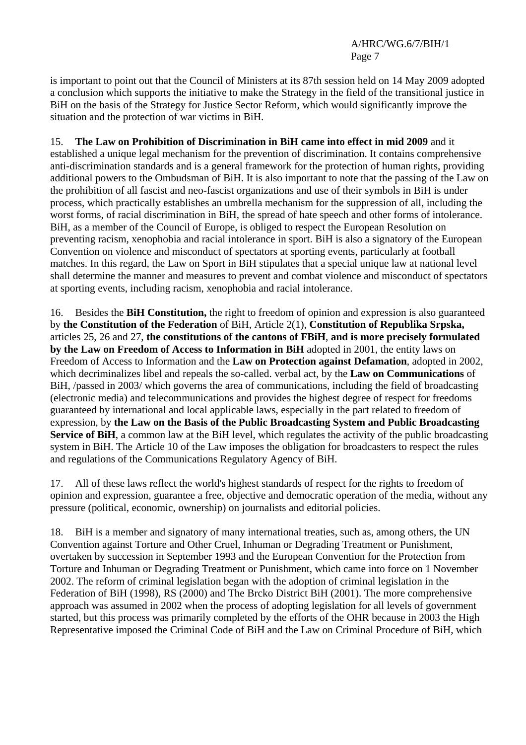is important to point out that the Council of Ministers at its 87th session held on 14 May 2009 adopted a conclusion which supports the initiative to make the Strategy in the field of the transitional justice in BiH on the basis of the Strategy for Justice Sector Reform, which would significantly improve the situation and the protection of war victims in BiH.

## 15. **The Law on Prohibition of Discrimination in BiH came into effect in mid 2009** and it

established a unique legal mechanism for the prevention of discrimination. It contains comprehensive anti-discrimination standards and is a general framework for the protection of human rights, providing additional powers to the Ombudsman of BiH. It is also important to note that the passing of the Law on the prohibition of all fascist and neo-fascist organizations and use of their symbols in BiH is under process, which practically establishes an umbrella mechanism for the suppression of all, including the worst forms, of racial discrimination in BiH, the spread of hate speech and other forms of intolerance. BiH, as a member of the Council of Europe, is obliged to respect the European Resolution on preventing racism, xenophobia and racial intolerance in sport. BiH is also a signatory of the European Convention on violence and misconduct of spectators at sporting events, particularly at football matches. In this regard, the Law on Sport in BiH stipulates that a special unique law at national level shall determine the manner and measures to prevent and combat violence and misconduct of spectators at sporting events, including racism, xenophobia and racial intolerance.

16. Besides the **BiH Constitution,** the right to freedom of opinion and expression is also guaranteed by **the Constitution of the Federation** of BiH, Article 2(1), **Constitution of Republika Srpska,**  articles 25, 26 and 27, **the constitutions of the cantons of FBiH**, **and is more precisely formulated by the Law on Freedom of Access to Information in BiH** adopted in 2001, the entity laws on Freedom of Access to Information and the **Law on Protection against Defamation**, adopted in 2002, which decriminalizes libel and repeals the so-called. verbal act, by the **Law on Communications** of BiH, /passed in 2003/ which governs the area of communications, including the field of broadcasting (electronic media) and telecommunications and provides the highest degree of respect for freedoms guaranteed by international and local applicable laws, especially in the part related to freedom of expression, by **the Law on the Basis of the Public Broadcasting System and Public Broadcasting Service of BiH**, a common law at the BiH level, which regulates the activity of the public broadcasting system in BiH. The Article 10 of the Law imposes the obligation for broadcasters to respect the rules and regulations of the Communications Regulatory Agency of BiH.

17. All of these laws reflect the world's highest standards of respect for the rights to freedom of opinion and expression, guarantee a free, objective and democratic operation of the media, without any pressure (political, economic, ownership) on journalists and editorial policies.

18. BiH is a member and signatory of many international treaties, such as, among others, the UN Convention against Torture and Other Cruel, Inhuman or Degrading Treatment or Punishment, overtaken by succession in September 1993 and the European Convention for the Protection from Torture and Inhuman or Degrading Treatment or Punishment, which came into force on 1 November 2002. The reform of criminal legislation began with the adoption of criminal legislation in the Federation of BiH (1998), RS (2000) and The Brcko District BiH (2001). The more comprehensive approach was assumed in 2002 when the process of adopting legislation for all levels of government started, but this process was primarily completed by the efforts of the OHR because in 2003 the High Representative imposed the Criminal Code of BiH and the Law on Criminal Procedure of BiH, which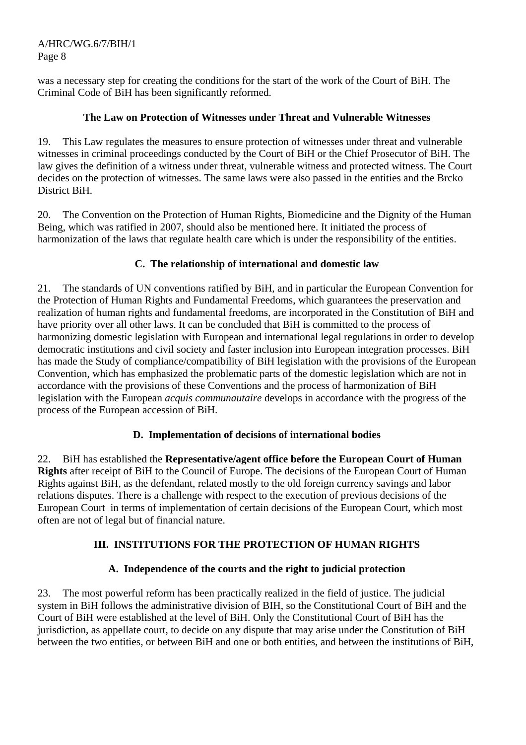was a necessary step for creating the conditions for the start of the work of the Court of BiH. The Criminal Code of BiH has been significantly reformed.

#### **The Law on Protection of Witnesses under Threat and Vulnerable Witnesses**

19. This Law regulates the measures to ensure protection of witnesses under threat and vulnerable witnesses in criminal proceedings conducted by the Court of BiH or the Chief Prosecutor of BiH. The law gives the definition of a witness under threat, vulnerable witness and protected witness. The Court decides on the protection of witnesses. The same laws were also passed in the entities and the Brcko District BiH.

20. The Convention on the Protection of Human Rights, Biomedicine and the Dignity of the Human Being, which was ratified in 2007, should also be mentioned here. It initiated the process of harmonization of the laws that regulate health care which is under the responsibility of the entities.

## **C. The relationship of international and domestic law**

21. The standards of UN conventions ratified by BiH, and in particular the European Convention for the Protection of Human Rights and Fundamental Freedoms, which guarantees the preservation and realization of human rights and fundamental freedoms, are incorporated in the Constitution of BiH and have priority over all other laws. It can be concluded that BiH is committed to the process of harmonizing domestic legislation with European and international legal regulations in order to develop democratic institutions and civil society and faster inclusion into European integration processes. BiH has made the Study of compliance/compatibility of BiH legislation with the provisions of the European Convention, which has emphasized the problematic parts of the domestic legislation which are not in accordance with the provisions of these Conventions and the process of harmonization of BiH legislation with the European *acquis communautaire* develops in accordance with the progress of the process of the European accession of BiH.

#### **D. Implementation of decisions of international bodies**

22. BiH has established the **Representative/agent office before the European Court of Human Rights** after receipt of BiH to the Council of Europe. The decisions of the European Court of Human Rights against BiH, as the defendant, related mostly to the old foreign currency savings and labor relations disputes. There is a challenge with respect to the execution of previous decisions of the European Court in terms of implementation of certain decisions of the European Court, which most often are not of legal but of financial nature.

## **III. INSTITUTIONS FOR THE PROTECTION OF HUMAN RIGHTS**

## **A. Independence of the courts and the right to judicial protection**

23. The most powerful reform has been practically realized in the field of justice. The judicial system in BiH follows the administrative division of BIH, so the Constitutional Court of BiH and the Court of BiH were established at the level of BiH. Only the Constitutional Court of BiH has the jurisdiction, as appellate court, to decide on any dispute that may arise under the Constitution of BiH between the two entities, or between BiH and one or both entities, and between the institutions of BiH,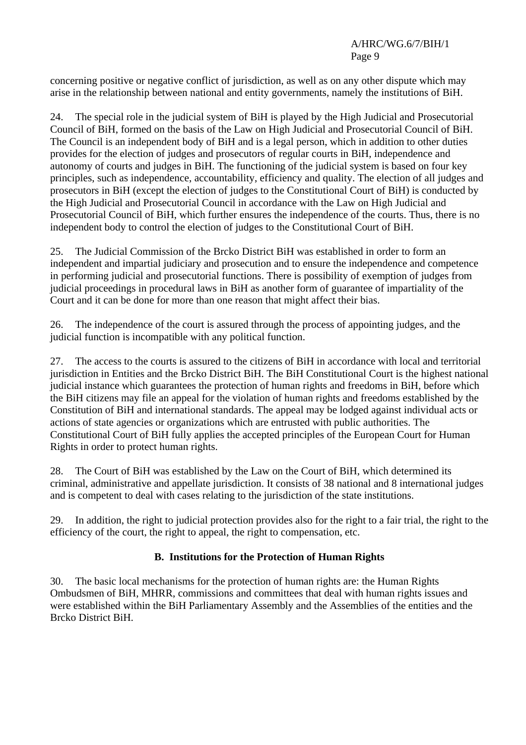concerning positive or negative conflict of jurisdiction, as well as on any other dispute which may arise in the relationship between national and entity governments, namely the institutions of BiH.

24. The special role in the judicial system of BiH is played by the High Judicial and Prosecutorial Council of BiH, formed on the basis of the Law on High Judicial and Prosecutorial Council of BiH. The Council is an independent body of BiH and is a legal person, which in addition to other duties provides for the election of judges and prosecutors of regular courts in BiH, independence and autonomy of courts and judges in BiH. The functioning of the judicial system is based on four key principles, such as independence, accountability, efficiency and quality. The election of all judges and prosecutors in BiH (except the election of judges to the Constitutional Court of BiH) is conducted by the High Judicial and Prosecutorial Council in accordance with the Law on High Judicial and Prosecutorial Council of BiH, which further ensures the independence of the courts. Thus, there is no independent body to control the election of judges to the Constitutional Court of BiH.

25. The Judicial Commission of the Brcko District BiH was established in order to form an independent and impartial judiciary and prosecution and to ensure the independence and competence in performing judicial and prosecutorial functions. There is possibility of exemption of judges from judicial proceedings in procedural laws in BiH as another form of guarantee of impartiality of the Court and it can be done for more than one reason that might affect their bias.

26. The independence of the court is assured through the process of appointing judges, and the judicial function is incompatible with any political function.

27. The access to the courts is assured to the citizens of BiH in accordance with local and territorial jurisdiction in Entities and the Brcko District BiH. The BiH Constitutional Court is the highest national judicial instance which guarantees the protection of human rights and freedoms in BiH, before which the BiH citizens may file an appeal for the violation of human rights and freedoms established by the Constitution of BiH and international standards. The appeal may be lodged against individual acts or actions of state agencies or organizations which are entrusted with public authorities. The Constitutional Court of BiH fully applies the accepted principles of the European Court for Human Rights in order to protect human rights.

28. The Court of BiH was established by the Law on the Court of BiH, which determined its criminal, administrative and appellate jurisdiction. It consists of 38 national and 8 international judges and is competent to deal with cases relating to the jurisdiction of the state institutions.

29. In addition, the right to judicial protection provides also for the right to a fair trial, the right to the efficiency of the court, the right to appeal, the right to compensation, etc.

## **B. Institutions for the Protection of Human Rights**

30. The basic local mechanisms for the protection of human rights are: the Human Rights Ombudsmen of BiH, MHRR, commissions and committees that deal with human rights issues and were established within the BiH Parliamentary Assembly and the Assemblies of the entities and the Brcko District BiH.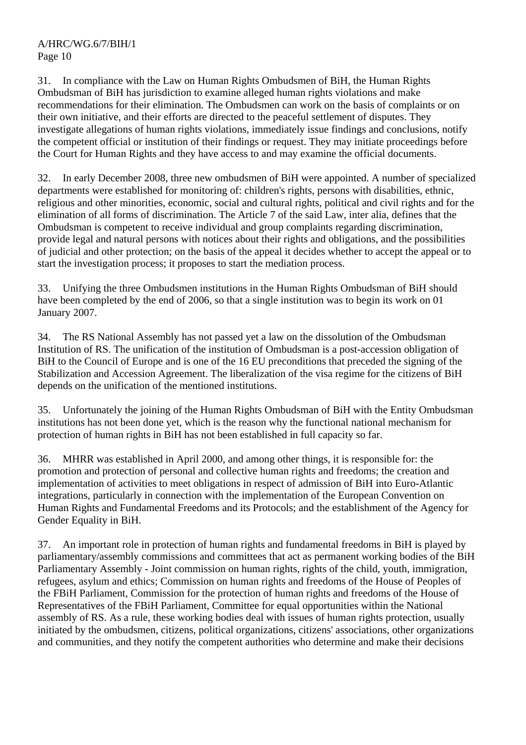31. In compliance with the Law on Human Rights Ombudsmen of BiH, the Human Rights Ombudsman of BiH has jurisdiction to examine alleged human rights violations and make recommendations for their elimination. The Ombudsmen can work on the basis of complaints or on their own initiative, and their efforts are directed to the peaceful settlement of disputes. They investigate allegations of human rights violations, immediately issue findings and conclusions, notify the competent official or institution of their findings or request. They may initiate proceedings before the Court for Human Rights and they have access to and may examine the official documents.

32. In early December 2008, three new ombudsmen of BiH were appointed. A number of specialized departments were established for monitoring of: children's rights, persons with disabilities, ethnic, religious and other minorities, economic, social and cultural rights, political and civil rights and for the elimination of all forms of discrimination. The Article 7 of the said Law, inter alia, defines that the Ombudsman is competent to receive individual and group complaints regarding discrimination, provide legal and natural persons with notices about their rights and obligations, and the possibilities of judicial and other protection; on the basis of the appeal it decides whether to accept the appeal or to start the investigation process; it proposes to start the mediation process.

33. Unifying the three Ombudsmen institutions in the Human Rights Ombudsman of BiH should have been completed by the end of 2006, so that a single institution was to begin its work on 01 January 2007.

34. The RS National Assembly has not passed yet a law on the dissolution of the Ombudsman Institution of RS. The unification of the institution of Ombudsman is a post-accession obligation of BiH to the Council of Europe and is one of the 16 EU preconditions that preceded the signing of the Stabilization and Accession Agreement. The liberalization of the visa regime for the citizens of BiH depends on the unification of the mentioned institutions.

35. Unfortunately the joining of the Human Rights Ombudsman of BiH with the Entity Ombudsman institutions has not been done yet, which is the reason why the functional national mechanism for protection of human rights in BiH has not been established in full capacity so far.

36. MHRR was established in April 2000, and among other things, it is responsible for: the promotion and protection of personal and collective human rights and freedoms; the creation and implementation of activities to meet obligations in respect of admission of BiH into Euro-Atlantic integrations, particularly in connection with the implementation of the European Convention on Human Rights and Fundamental Freedoms and its Protocols; and the establishment of the Agency for Gender Equality in BiH.

37. An important role in protection of human rights and fundamental freedoms in BiH is played by parliamentary/assembly commissions and committees that act as permanent working bodies of the BiH Parliamentary Assembly - Joint commission on human rights, rights of the child, youth, immigration, refugees, asylum and ethics; Commission on human rights and freedoms of the House of Peoples of the FBiH Parliament, Commission for the protection of human rights and freedoms of the House of Representatives of the FBiH Parliament, Committee for equal opportunities within the National assembly of RS. As a rule, these working bodies deal with issues of human rights protection, usually initiated by the ombudsmen, citizens, political organizations, citizens' associations, other organizations and communities, and they notify the competent authorities who determine and make their decisions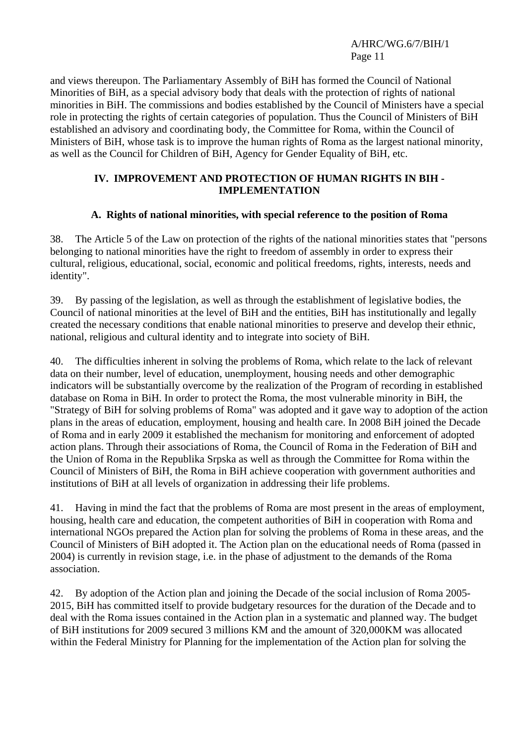and views thereupon. The Parliamentary Assembly of BiH has formed the Council of National Minorities of BiH, as a special advisory body that deals with the protection of rights of national minorities in BiH. The commissions and bodies established by the Council of Ministers have a special role in protecting the rights of certain categories of population. Thus the Council of Ministers of BiH established an advisory and coordinating body, the Committee for Roma, within the Council of Ministers of BiH, whose task is to improve the human rights of Roma as the largest national minority, as well as the Council for Children of BiH, Agency for Gender Equality of BiH, etc.

#### **IV. IMPROVEMENT AND PROTECTION OF HUMAN RIGHTS IN BIH - IMPLEMENTATION**

#### **A. Rights of national minorities, with special reference to the position of Roma**

38. The Article 5 of the Law on protection of the rights of the national minorities states that "persons belonging to national minorities have the right to freedom of assembly in order to express their cultural, religious, educational, social, economic and political freedoms, rights, interests, needs and identity".

39. By passing of the legislation, as well as through the establishment of legislative bodies, the Council of national minorities at the level of BiH and the entities, BiH has institutionally and legally created the necessary conditions that enable national minorities to preserve and develop their ethnic, national, religious and cultural identity and to integrate into society of BiH.

40. The difficulties inherent in solving the problems of Roma, which relate to the lack of relevant data on their number, level of education, unemployment, housing needs and other demographic indicators will be substantially overcome by the realization of the Program of recording in established database on Roma in BiH. In order to protect the Roma, the most vulnerable minority in BiH, the "Strategy of BiH for solving problems of Roma" was adopted and it gave way to adoption of the action plans in the areas of education, employment, housing and health care. In 2008 BiH joined the Decade of Roma and in early 2009 it established the mechanism for monitoring and enforcement of adopted action plans. Through their associations of Roma, the Council of Roma in the Federation of BiH and the Union of Roma in the Republika Srpska as well as through the Committee for Roma within the Council of Ministers of BiH, the Roma in BiH achieve cooperation with government authorities and institutions of BiH at all levels of organization in addressing their life problems.

41. Having in mind the fact that the problems of Roma are most present in the areas of employment, housing, health care and education, the competent authorities of BiH in cooperation with Roma and international NGOs prepared the Action plan for solving the problems of Roma in these areas, and the Council of Ministers of BiH adopted it. The Action plan on the educational needs of Roma (passed in 2004) is currently in revision stage, i.e. in the phase of adjustment to the demands of the Roma association.

42. By adoption of the Action plan and joining the Decade of the social inclusion of Roma 2005- 2015, BiH has committed itself to provide budgetary resources for the duration of the Decade and to deal with the Roma issues contained in the Action plan in a systematic and planned way. The budget of BiH institutions for 2009 secured 3 millions KM and the amount of 320,000KM was allocated within the Federal Ministry for Planning for the implementation of the Action plan for solving the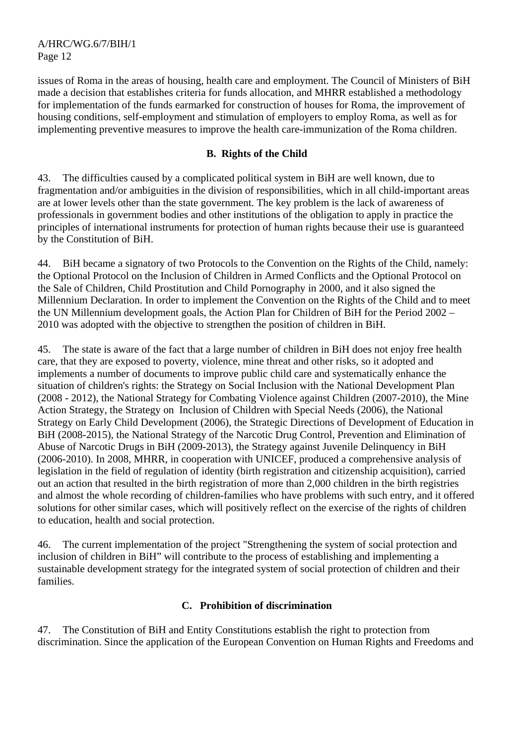issues of Roma in the areas of housing, health care and employment. The Council of Ministers of BiH made a decision that establishes criteria for funds allocation, and MHRR established a methodology for implementation of the funds earmarked for construction of houses for Roma, the improvement of housing conditions, self-employment and stimulation of employers to employ Roma, as well as for implementing preventive measures to improve the health care-immunization of the Roma children.

#### **B. Rights of the Child**

43. The difficulties caused by a complicated political system in BiH are well known, due to fragmentation and/or ambiguities in the division of responsibilities, which in all child-important areas are at lower levels other than the state government. The key problem is the lack of awareness of professionals in government bodies and other institutions of the obligation to apply in practice the principles of international instruments for protection of human rights because their use is guaranteed by the Constitution of BiH.

44. BiH became a signatory of two Protocols to the Convention on the Rights of the Child, namely: the Optional Protocol on the Inclusion of Children in Armed Conflicts and the Optional Protocol on the Sale of Children, Child Prostitution and Child Pornography in 2000, and it also signed the Millennium Declaration. In order to implement the Convention on the Rights of the Child and to meet the UN Millennium development goals, the Action Plan for Children of BiH for the Period 2002 – 2010 was adopted with the objective to strengthen the position of children in BiH.

45. The state is aware of the fact that a large number of children in BiH does not enjoy free health care, that they are exposed to poverty, violence, mine threat and other risks, so it adopted and implements a number of documents to improve public child care and systematically enhance the situation of children's rights: the Strategy on Social Inclusion with the National Development Plan (2008 - 2012), the National Strategy for Combating Violence against Children (2007-2010), the Mine Action Strategy, the Strategy on Inclusion of Children with Special Needs (2006), the National Strategy on Early Child Development (2006), the Strategic Directions of Development of Education in BiH (2008-2015), the National Strategy of the Narcotic Drug Control, Prevention and Elimination of Abuse of Narcotic Drugs in BiH (2009-2013), the Strategy against Juvenile Delinquency in BiH (2006-2010). In 2008, MHRR, in cooperation with UNICEF, produced a comprehensive analysis of legislation in the field of regulation of identity (birth registration and citizenship acquisition), carried out an action that resulted in the birth registration of more than 2,000 children in the birth registries and almost the whole recording of children-families who have problems with such entry, and it offered solutions for other similar cases, which will positively reflect on the exercise of the rights of children to education, health and social protection.

46. The current implementation of the project "Strengthening the system of social protection and inclusion of children in BiH" will contribute to the process of establishing and implementing a sustainable development strategy for the integrated system of social protection of children and their families.

#### **C. Prohibition of discrimination**

47. The Constitution of BiH and Entity Constitutions establish the right to protection from discrimination. Since the application of the European Convention on Human Rights and Freedoms and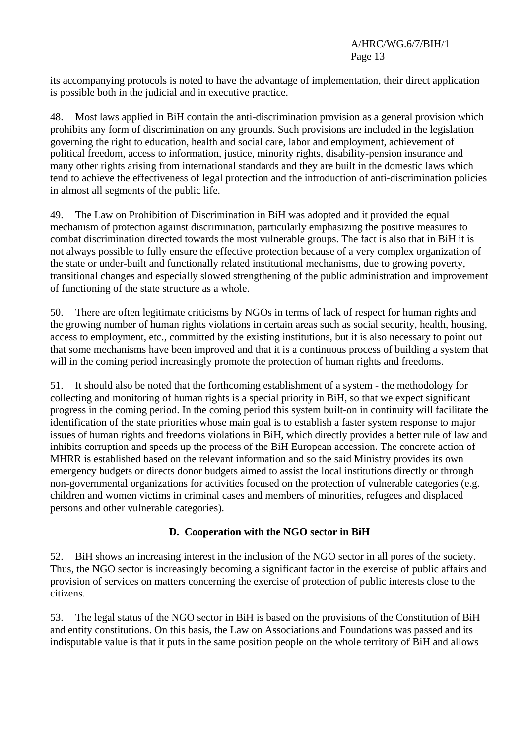its accompanying protocols is noted to have the advantage of implementation, their direct application is possible both in the judicial and in executive practice.

48. Most laws applied in BiH contain the anti-discrimination provision as a general provision which prohibits any form of discrimination on any grounds. Such provisions are included in the legislation governing the right to education, health and social care, labor and employment, achievement of political freedom, access to information, justice, minority rights, disability-pension insurance and many other rights arising from international standards and they are built in the domestic laws which tend to achieve the effectiveness of legal protection and the introduction of anti-discrimination policies in almost all segments of the public life.

49. The Law on Prohibition of Discrimination in BiH was adopted and it provided the equal mechanism of protection against discrimination, particularly emphasizing the positive measures to combat discrimination directed towards the most vulnerable groups. The fact is also that in BiH it is not always possible to fully ensure the effective protection because of a very complex organization of the state or under-built and functionally related institutional mechanisms, due to growing poverty, transitional changes and especially slowed strengthening of the public administration and improvement of functioning of the state structure as a whole.

50. There are often legitimate criticisms by NGOs in terms of lack of respect for human rights and the growing number of human rights violations in certain areas such as social security, health, housing, access to employment, etc., committed by the existing institutions, but it is also necessary to point out that some mechanisms have been improved and that it is a continuous process of building a system that will in the coming period increasingly promote the protection of human rights and freedoms.

51. It should also be noted that the forthcoming establishment of a system - the methodology for collecting and monitoring of human rights is a special priority in BiH, so that we expect significant progress in the coming period. In the coming period this system built-on in continuity will facilitate the identification of the state priorities whose main goal is to establish a faster system response to major issues of human rights and freedoms violations in BiH, which directly provides a better rule of law and inhibits corruption and speeds up the process of the BiH European accession. The concrete action of MHRR is established based on the relevant information and so the said Ministry provides its own emergency budgets or directs donor budgets aimed to assist the local institutions directly or through non-governmental organizations for activities focused on the protection of vulnerable categories (e.g. children and women victims in criminal cases and members of minorities, refugees and displaced persons and other vulnerable categories).

## **D. Cooperation with the NGO sector in BiH**

52. BiH shows an increasing interest in the inclusion of the NGO sector in all pores of the society. Thus, the NGO sector is increasingly becoming a significant factor in the exercise of public affairs and provision of services on matters concerning the exercise of protection of public interests close to the citizens.

53. The legal status of the NGO sector in BiH is based on the provisions of the Constitution of BiH and entity constitutions. On this basis, the Law on Associations and Foundations was passed and its indisputable value is that it puts in the same position people on the whole territory of BiH and allows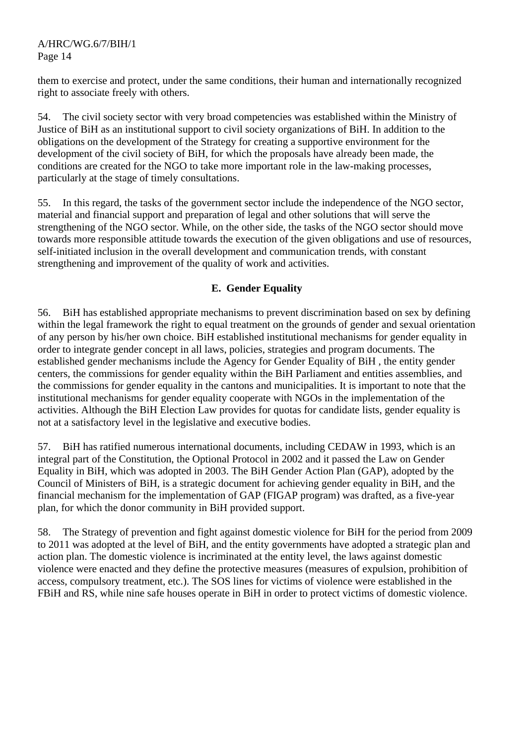them to exercise and protect, under the same conditions, their human and internationally recognized right to associate freely with others.

54. The civil society sector with very broad competencies was established within the Ministry of Justice of BiH as an institutional support to civil society organizations of BiH. In addition to the obligations on the development of the Strategy for creating a supportive environment for the development of the civil society of BiH, for which the proposals have already been made, the conditions are created for the NGO to take more important role in the law-making processes, particularly at the stage of timely consultations.

55. In this regard, the tasks of the government sector include the independence of the NGO sector, material and financial support and preparation of legal and other solutions that will serve the strengthening of the NGO sector. While, on the other side, the tasks of the NGO sector should move towards more responsible attitude towards the execution of the given obligations and use of resources, self-initiated inclusion in the overall development and communication trends, with constant strengthening and improvement of the quality of work and activities.

## **E. Gender Equality**

56. BiH has established appropriate mechanisms to prevent discrimination based on sex by defining within the legal framework the right to equal treatment on the grounds of gender and sexual orientation of any person by his/her own choice. BiH established institutional mechanisms for gender equality in order to integrate gender concept in all laws, policies, strategies and program documents. The established gender mechanisms include the Agency for Gender Equality of BiH , the entity gender centers, the commissions for gender equality within the BiH Parliament and entities assemblies, and the commissions for gender equality in the cantons and municipalities. It is important to note that the institutional mechanisms for gender equality cooperate with NGOs in the implementation of the activities. Although the BiH Election Law provides for quotas for candidate lists, gender equality is not at a satisfactory level in the legislative and executive bodies.

57. BiH has ratified numerous international documents, including CEDAW in 1993, which is an integral part of the Constitution, the Optional Protocol in 2002 and it passed the Law on Gender Equality in BiH, which was adopted in 2003. The BiH Gender Action Plan (GAP), adopted by the Council of Ministers of BiH, is a strategic document for achieving gender equality in BiH, and the financial mechanism for the implementation of GAP (FIGAP program) was drafted, as a five-year plan, for which the donor community in BiH provided support.

58. The Strategy of prevention and fight against domestic violence for BiH for the period from 2009 to 2011 was adopted at the level of BiH, and the entity governments have adopted a strategic plan and action plan. The domestic violence is incriminated at the entity level, the laws against domestic violence were enacted and they define the protective measures (measures of expulsion, prohibition of access, compulsory treatment, etc.). The SOS lines for victims of violence were established in the FBiH and RS, while nine safe houses operate in BiH in order to protect victims of domestic violence.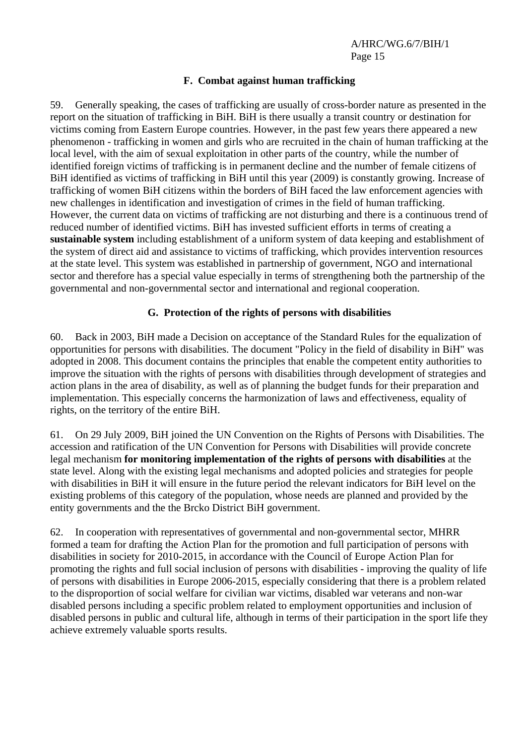#### **F. Combat against human trafficking**

59. Generally speaking, the cases of trafficking are usually of cross-border nature as presented in the report on the situation of trafficking in BiH. BiH is there usually a transit country or destination for victims coming from Eastern Europe countries. However, in the past few years there appeared a new phenomenon - trafficking in women and girls who are recruited in the chain of human trafficking at the local level, with the aim of sexual exploitation in other parts of the country, while the number of identified foreign victims of trafficking is in permanent decline and the number of female citizens of BiH identified as victims of trafficking in BiH until this year (2009) is constantly growing. Increase of trafficking of women BiH citizens within the borders of BiH faced the law enforcement agencies with new challenges in identification and investigation of crimes in the field of human trafficking. However, the current data on victims of trafficking are not disturbing and there is a continuous trend of reduced number of identified victims. BiH has invested sufficient efforts in terms of creating a **sustainable system** including establishment of a uniform system of data keeping and establishment of the system of direct aid and assistance to victims of trafficking, which provides intervention resources at the state level. This system was established in partnership of government, NGO and international sector and therefore has a special value especially in terms of strengthening both the partnership of the governmental and non-governmental sector and international and regional cooperation.

#### **G. Protection of the rights of persons with disabilities**

60. Back in 2003, BiH made a Decision on acceptance of the Standard Rules for the equalization of opportunities for persons with disabilities. The document "Policy in the field of disability in BiH" was adopted in 2008. This document contains the principles that enable the competent entity authorities to improve the situation with the rights of persons with disabilities through development of strategies and action plans in the area of disability, as well as of planning the budget funds for their preparation and implementation. This especially concerns the harmonization of laws and effectiveness, equality of rights, on the territory of the entire BiH.

61. On 29 July 2009, BiH joined the UN Convention on the Rights of Persons with Disabilities. The accession and ratification of the UN Convention for Persons with Disabilities will provide concrete legal mechanism **for monitoring implementation of the rights of persons with disabilities** at the state level. Along with the existing legal mechanisms and adopted policies and strategies for people with disabilities in BiH it will ensure in the future period the relevant indicators for BiH level on the existing problems of this category of the population, whose needs are planned and provided by the entity governments and the the Brcko District BiH government.

62. In cooperation with representatives of governmental and non-governmental sector, MHRR formed a team for drafting the Action Plan for the promotion and full participation of persons with disabilities in society for 2010-2015, in accordance with the Council of Europe Action Plan for promoting the rights and full social inclusion of persons with disabilities - improving the quality of life of persons with disabilities in Europe 2006-2015, especially considering that there is a problem related to the disproportion of social welfare for civilian war victims, disabled war veterans and non-war disabled persons including a specific problem related to employment opportunities and inclusion of disabled persons in public and cultural life, although in terms of their participation in the sport life they achieve extremely valuable sports results.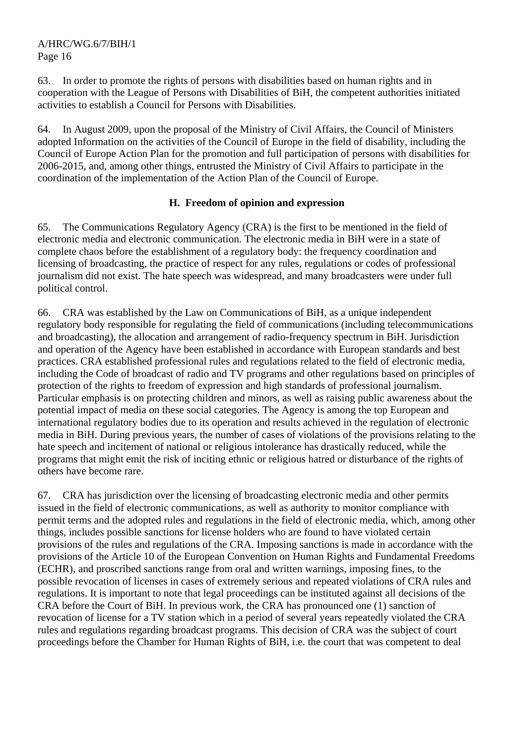63. In order to promote the rights of persons with disabilities based on human rights and in cooperation with the League of Persons with Disabilities of BiH, the competent authorities initiated activities to establish a Council for Persons with Disabilities.

64. In August 2009, upon the proposal of the Ministry of Civil Affairs, the Council of Ministers adopted Information on the activities of the Council of Europe in the field of disability, including the Council of Europe Action Plan for the promotion and full participation of persons with disabilities for 2006-2015, and, among other things, entrusted the Ministry of Civil Affairs to participate in the coordination of the implementation of the Action Plan of the Council of Europe.

#### **H. Freedom of opinion and expression**

65. The Communications Regulatory Agency (CRA) is the first to be mentioned in the field of electronic media and electronic communication. The electronic media in BiH were in a state of complete chaos before the establishment of a regulatory body: the frequency coordination and licensing of broadcasting, the practice of respect for any rules, regulations or codes of professional journalism did not exist. The hate speech was widespread, and many broadcasters were under full political control.

66. CRA was established by the Law on Communications of BiH, as a unique independent regulatory body responsible for regulating the field of communications (including telecommunications and broadcasting), the allocation and arrangement of radio-frequency spectrum in BiH. Jurisdiction and operation of the Agency have been established in accordance with European standards and best practices. CRA established professional rules and regulations related to the field of electronic media, including the Code of broadcast of radio and TV programs and other regulations based on principles of protection of the rights to freedom of expression and high standards of professional journalism. Particular emphasis is on protecting children and minors, as well as raising public awareness about the potential impact of media on these social categories. The Agency is among the top European and international regulatory bodies due to its operation and results achieved in the regulation of electronic media in BiH. During previous years, the number of cases of violations of the provisions relating to the hate speech and incitement of national or religious intolerance has drastically reduced, while the programs that might emit the risk of inciting ethnic or religious hatred or disturbance of the rights of others have become rare.

67. CRA has jurisdiction over the licensing of broadcasting electronic media and other permits issued in the field of electronic communications, as well as authority to monitor compliance with permit terms and the adopted rules and regulations in the field of electronic media, which, among other things, includes possible sanctions for license holders who are found to have violated certain provisions of the rules and regulations of the CRA. Imposing sanctions is made in accordance with the provisions of the Article 10 of the European Convention on Human Rights and Fundamental Freedoms (ECHR), and proscribed sanctions range from oral and written warnings, imposing fines, to the possible revocation of licenses in cases of extremely serious and repeated violations of CRA rules and regulations. It is important to note that legal proceedings can be instituted against all decisions of the CRA before the Court of BiH. In previous work, the CRA has pronounced one (1) sanction of revocation of license for a TV station which in a period of several years repeatedly violated the CRA rules and regulations regarding broadcast programs. This decision of CRA was the subject of court proceedings before the Chamber for Human Rights of BiH, i.e. the court that was competent to deal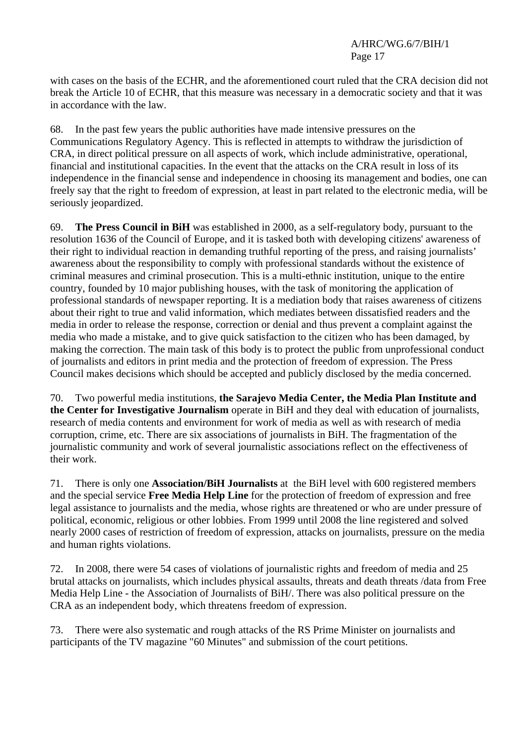with cases on the basis of the ECHR, and the aforementioned court ruled that the CRA decision did not break the Article 10 of ECHR, that this measure was necessary in a democratic society and that it was in accordance with the law.

68. In the past few years the public authorities have made intensive pressures on the Communications Regulatory Agency. This is reflected in attempts to withdraw the jurisdiction of CRA, in direct political pressure on all aspects of work, which include administrative, operational, financial and institutional capacities. In the event that the attacks on the CRA result in loss of its independence in the financial sense and independence in choosing its management and bodies, one can freely say that the right to freedom of expression, at least in part related to the electronic media, will be seriously jeopardized.

69. **The Press Council in BiH** was established in 2000, as a self-regulatory body, pursuant to the resolution 1636 of the Council of Europe, and it is tasked both with developing citizens' awareness of their right to individual reaction in demanding truthful reporting of the press, and raising journalists' awareness about the responsibility to comply with professional standards without the existence of criminal measures and criminal prosecution. This is a multi-ethnic institution, unique to the entire country, founded by 10 major publishing houses, with the task of monitoring the application of professional standards of newspaper reporting. It is a mediation body that raises awareness of citizens about their right to true and valid information, which mediates between dissatisfied readers and the media in order to release the response, correction or denial and thus prevent a complaint against the media who made a mistake, and to give quick satisfaction to the citizen who has been damaged, by making the correction. The main task of this body is to protect the public from unprofessional conduct of journalists and editors in print media and the protection of freedom of expression. The Press Council makes decisions which should be accepted and publicly disclosed by the media concerned.

70. Two powerful media institutions, **the Sarajevo Media Center, the Media Plan Institute and the Center for Investigative Journalism** operate in BiH and they deal with education of journalists, research of media contents and environment for work of media as well as with research of media corruption, crime, etc. There are six associations of journalists in BiH. The fragmentation of the journalistic community and work of several journalistic associations reflect on the effectiveness of their work.

71. There is only one **Association/BiH Journalists** at the BiH level with 600 registered members and the special service **Free Media Help Line** for the protection of freedom of expression and free legal assistance to journalists and the media, whose rights are threatened or who are under pressure of political, economic, religious or other lobbies. From 1999 until 2008 the line registered and solved nearly 2000 cases of restriction of freedom of expression, attacks on journalists, pressure on the media and human rights violations.

72. In 2008, there were 54 cases of violations of journalistic rights and freedom of media and 25 brutal attacks on journalists, which includes physical assaults, threats and death threats /data from Free Media Help Line - the Association of Journalists of BiH/. There was also political pressure on the CRA as an independent body, which threatens freedom of expression.

73. There were also systematic and rough attacks of the RS Prime Minister on journalists and participants of the TV magazine "60 Minutes" and submission of the court petitions.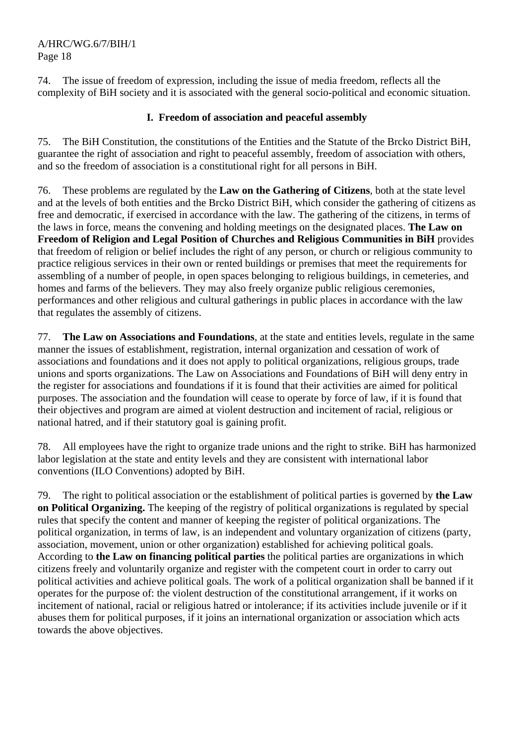74. The issue of freedom of expression, including the issue of media freedom, reflects all the complexity of BiH society and it is associated with the general socio-political and economic situation.

## **I. Freedom of association and peaceful assembly**

75. The BiH Constitution, the constitutions of the Entities and the Statute of the Brcko District BiH, guarantee the right of association and right to peaceful assembly, freedom of association with others, and so the freedom of association is a constitutional right for all persons in BiH.

76. These problems are regulated by the **Law on the Gathering of Citizens**, both at the state level and at the levels of both entities and the Brcko District BiH, which consider the gathering of citizens as free and democratic, if exercised in accordance with the law. The gathering of the citizens, in terms of the laws in force, means the convening and holding meetings on the designated places. **The Law on Freedom of Religion and Legal Position of Churches and Religious Communities in BiH** provides that freedom of religion or belief includes the right of any person, or church or religious community to practice religious services in their own or rented buildings or premises that meet the requirements for assembling of a number of people, in open spaces belonging to religious buildings, in cemeteries, and homes and farms of the believers. They may also freely organize public religious ceremonies, performances and other religious and cultural gatherings in public places in accordance with the law that regulates the assembly of citizens.

77. **The Law on Associations and Foundations**, at the state and entities levels, regulate in the same manner the issues of establishment, registration, internal organization and cessation of work of associations and foundations and it does not apply to political organizations, religious groups, trade unions and sports organizations. The Law on Associations and Foundations of BiH will deny entry in the register for associations and foundations if it is found that their activities are aimed for political purposes. The association and the foundation will cease to operate by force of law, if it is found that their objectives and program are aimed at violent destruction and incitement of racial, religious or national hatred, and if their statutory goal is gaining profit.

78. All employees have the right to organize trade unions and the right to strike. BiH has harmonized labor legislation at the state and entity levels and they are consistent with international labor conventions (ILO Conventions) adopted by BiH.

79. The right to political association or the establishment of political parties is governed by **the Law on Political Organizing.** The keeping of the registry of political organizations is regulated by special rules that specify the content and manner of keeping the register of political organizations. The political organization, in terms of law, is an independent and voluntary organization of citizens (party, association, movement, union or other organization) established for achieving political goals. According to **the Law on financing political parties** the political parties are organizations in which citizens freely and voluntarily organize and register with the competent court in order to carry out political activities and achieve political goals. The work of a political organization shall be banned if it operates for the purpose of: the violent destruction of the constitutional arrangement, if it works on incitement of national, racial or religious hatred or intolerance; if its activities include juvenile or if it abuses them for political purposes, if it joins an international organization or association which acts towards the above objectives.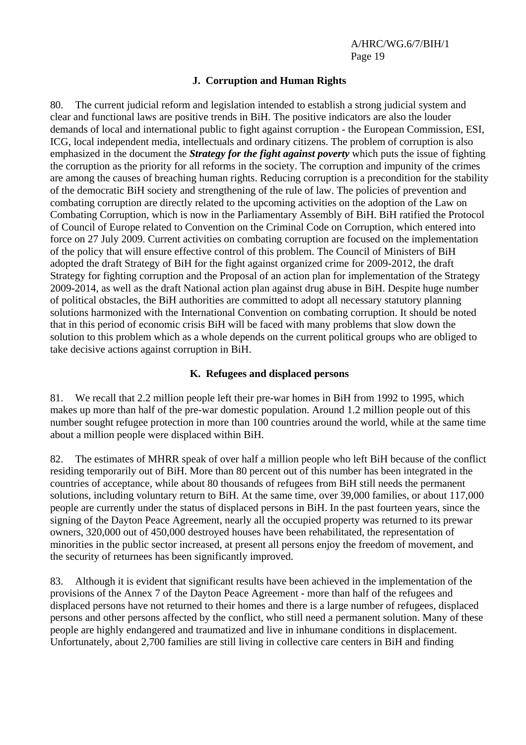#### **J. Corruption and Human Rights**

80. The current judicial reform and legislation intended to establish a strong judicial system and clear and functional laws are positive trends in BiH. The positive indicators are also the louder demands of local and international public to fight against corruption - the European Commission, ESI, ICG, local independent media, intellectuals and ordinary citizens. The problem of corruption is also emphasized in the document the *Strategy for the fight against poverty* which puts the issue of fighting the corruption as the priority for all reforms in the society. The corruption and impunity of the crimes are among the causes of breaching human rights. Reducing corruption is a precondition for the stability of the democratic BiH society and strengthening of the rule of law. The policies of prevention and combating corruption are directly related to the upcoming activities on the adoption of the Law on Combating Corruption, which is now in the Parliamentary Assembly of BiH. BiH ratified the Protocol of Council of Europe related to Convention on the Criminal Code on Corruption, which entered into force on 27 July 2009. Current activities on combating corruption are focused on the implementation of the policy that will ensure effective control of this problem. The Council of Ministers of BiH adopted the draft Strategy of BiH for the fight against organized crime for 2009-2012, the draft Strategy for fighting corruption and the Proposal of an action plan for implementation of the Strategy 2009-2014, as well as the draft National action plan against drug abuse in BiH. Despite huge number of political obstacles, the BiH authorities are committed to adopt all necessary statutory planning solutions harmonized with the International Convention on combating corruption. It should be noted that in this period of economic crisis BiH will be faced with many problems that slow down the solution to this problem which as a whole depends on the current political groups who are obliged to take decisive actions against corruption in BiH.

#### **K. Refugees and displaced persons**

81. We recall that 2.2 million people left their pre-war homes in BiH from 1992 to 1995, which makes up more than half of the pre-war domestic population. Around 1.2 million people out of this number sought refugee protection in more than 100 countries around the world, while at the same time about a million people were displaced within BiH.

82. The estimates of MHRR speak of over half a million people who left BiH because of the conflict residing temporarily out of BiH. More than 80 percent out of this number has been integrated in the countries of acceptance, while about 80 thousands of refugees from BiH still needs the permanent solutions, including voluntary return to BiH. At the same time, over 39,000 families, or about 117,000 people are currently under the status of displaced persons in BiH. In the past fourteen years, since the signing of the Dayton Peace Agreement, nearly all the occupied property was returned to its prewar owners, 320,000 out of 450,000 destroyed houses have been rehabilitated, the representation of minorities in the public sector increased, at present all persons enjoy the freedom of movement, and the security of returnees has been significantly improved.

83. Although it is evident that significant results have been achieved in the implementation of the provisions of the Annex 7 of the Dayton Peace Agreement - more than half of the refugees and displaced persons have not returned to their homes and there is a large number of refugees, displaced persons and other persons affected by the conflict, who still need a permanent solution. Many of these people are highly endangered and traumatized and live in inhumane conditions in displacement. Unfortunately, about 2,700 families are still living in collective care centers in BiH and finding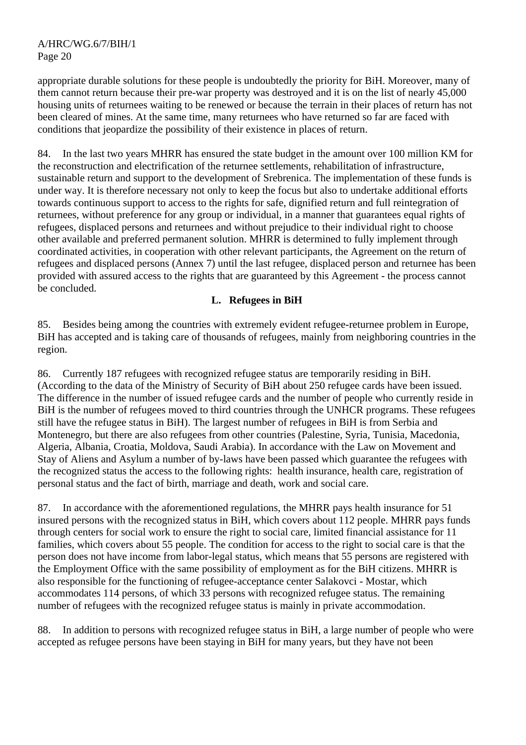appropriate durable solutions for these people is undoubtedly the priority for BiH. Moreover, many of them cannot return because their pre-war property was destroyed and it is on the list of nearly 45,000 housing units of returnees waiting to be renewed or because the terrain in their places of return has not been cleared of mines. At the same time, many returnees who have returned so far are faced with conditions that jeopardize the possibility of their existence in places of return.

84. In the last two years MHRR has ensured the state budget in the amount over 100 million KM for the reconstruction and electrification of the returnee settlements, rehabilitation of infrastructure, sustainable return and support to the development of Srebrenica. The implementation of these funds is under way. It is therefore necessary not only to keep the focus but also to undertake additional efforts towards continuous support to access to the rights for safe, dignified return and full reintegration of returnees, without preference for any group or individual, in a manner that guarantees equal rights of refugees, displaced persons and returnees and without prejudice to their individual right to choose other available and preferred permanent solution. MHRR is determined to fully implement through coordinated activities, in cooperation with other relevant participants, the Agreement on the return of refugees and displaced persons (Annex 7) until the last refugee, displaced person and returnee has been provided with assured access to the rights that are guaranteed by this Agreement - the process cannot be concluded.

#### **L. Refugees in BiH**

85. Besides being among the countries with extremely evident refugee-returnee problem in Europe, BiH has accepted and is taking care of thousands of refugees, mainly from neighboring countries in the region.

86. Currently 187 refugees with recognized refugee status are temporarily residing in BiH. (According to the data of the Ministry of Security of BiH about 250 refugee cards have been issued. The difference in the number of issued refugee cards and the number of people who currently reside in BiH is the number of refugees moved to third countries through the UNHCR programs. These refugees still have the refugee status in BiH). The largest number of refugees in BiH is from Serbia and Montenegro, but there are also refugees from other countries (Palestine, Syria, Tunisia, Macedonia, Algeria, Albania, Croatia, Moldova, Saudi Arabia). In accordance with the Law on Movement and Stay of Aliens and Asylum a number of by-laws have been passed which guarantee the refugees with the recognized status the access to the following rights: health insurance, health care, registration of personal status and the fact of birth, marriage and death, work and social care.

87. In accordance with the aforementioned regulations, the MHRR pays health insurance for 51 insured persons with the recognized status in BiH, which covers about 112 people. MHRR pays funds through centers for social work to ensure the right to social care, limited financial assistance for 11 families, which covers about 55 people. The condition for access to the right to social care is that the person does not have income from labor-legal status, which means that 55 persons are registered with the Employment Office with the same possibility of employment as for the BiH citizens. MHRR is also responsible for the functioning of refugee-acceptance center Salakovci - Mostar, which accommodates 114 persons, of which 33 persons with recognized refugee status. The remaining number of refugees with the recognized refugee status is mainly in private accommodation.

88. In addition to persons with recognized refugee status in BiH, a large number of people who were accepted as refugee persons have been staying in BiH for many years, but they have not been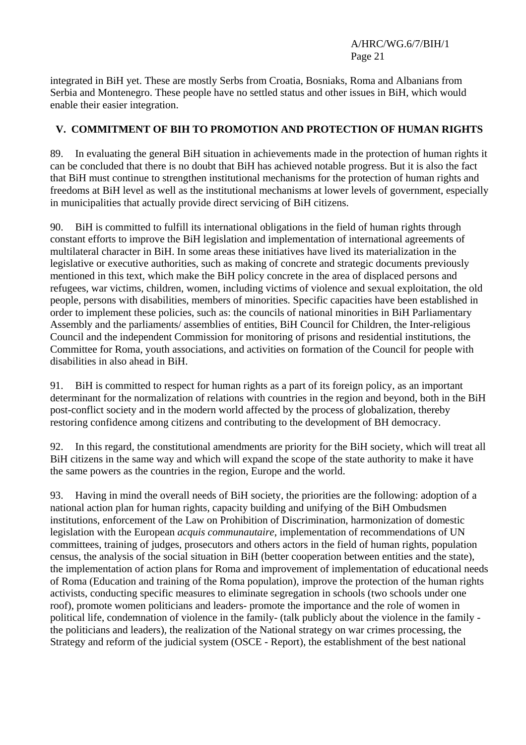integrated in BiH yet. These are mostly Serbs from Croatia, Bosniaks, Roma and Albanians from Serbia and Montenegro. These people have no settled status and other issues in BiH, which would enable their easier integration.

## **V. COMMITMENT OF BIH TO PROMOTION AND PROTECTION OF HUMAN RIGHTS**

89. In evaluating the general BiH situation in achievements made in the protection of human rights it can be concluded that there is no doubt that BiH has achieved notable progress. But it is also the fact that BiH must continue to strengthen institutional mechanisms for the protection of human rights and freedoms at BiH level as well as the institutional mechanisms at lower levels of government, especially in municipalities that actually provide direct servicing of BiH citizens.

90. BiH is committed to fulfill its international obligations in the field of human rights through constant efforts to improve the BiH legislation and implementation of international agreements of multilateral character in BiH. In some areas these initiatives have lived its materialization in the legislative or executive authorities, such as making of concrete and strategic documents previously mentioned in this text, which make the BiH policy concrete in the area of displaced persons and refugees, war victims, children, women, including victims of violence and sexual exploitation, the old people, persons with disabilities, members of minorities. Specific capacities have been established in order to implement these policies, such as: the councils of national minorities in BiH Parliamentary Assembly and the parliaments/ assemblies of entities, BiH Council for Children, the Inter-religious Council and the independent Commission for monitoring of prisons and residential institutions, the Committee for Roma, youth associations, and activities on formation of the Council for people with disabilities in also ahead in BiH.

91. BiH is committed to respect for human rights as a part of its foreign policy, as an important determinant for the normalization of relations with countries in the region and beyond, both in the BiH post-conflict society and in the modern world affected by the process of globalization, thereby restoring confidence among citizens and contributing to the development of BH democracy.

92. In this regard, the constitutional amendments are priority for the BiH society, which will treat all BiH citizens in the same way and which will expand the scope of the state authority to make it have the same powers as the countries in the region, Europe and the world.

93. Having in mind the overall needs of BiH society, the priorities are the following: adoption of a national action plan for human rights, capacity building and unifying of the BiH Ombudsmen institutions, enforcement of the Law on Prohibition of Discrimination, harmonization of domestic legislation with the European *acquis communautaire*, implementation of recommendations of UN committees, training of judges, prosecutors and others actors in the field of human rights, population census, the analysis of the social situation in BiH (better cooperation between entities and the state), the implementation of action plans for Roma and improvement of implementation of educational needs of Roma (Education and training of the Roma population), improve the protection of the human rights activists, conducting specific measures to eliminate segregation in schools (two schools under one roof), promote women politicians and leaders- promote the importance and the role of women in political life, condemnation of violence in the family- (talk publicly about the violence in the family the politicians and leaders), the realization of the National strategy on war crimes processing, the Strategy and reform of the judicial system (OSCE - Report), the establishment of the best national